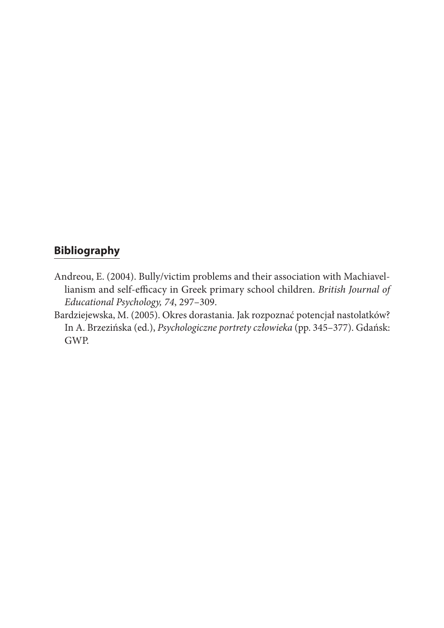## **Bibliography**

- Andreou, E. (2004). Bully/victim problems and their association with Machiavellianism and self-efficacy in Greek primary school children. *British Journal of Educational Psychology, 74*, 297–309.
- Bardziejewska, M. (2005). Okres dorastania. Jak rozpoznać potencjał nastolatków? In A. Brzezińska (ed.), *Psychologiczne portrety człowieka* (pp. 345–377). Gdańsk: GWP.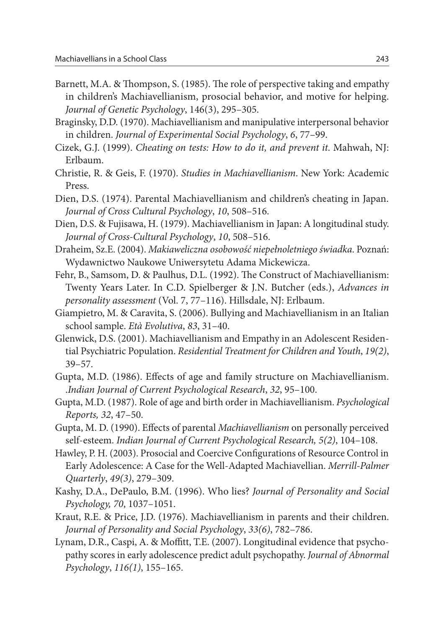- Barnett, M.A. & Thompson, S. (1985). The role of perspective taking and empathy in children's Machiavellianism, prosocial behavior, and motive for helping. *Journal of Genetic Psychology*, 146(3), 295–305.
- Braginsky, D.D. (1970). Machiavellianism and manipulative interpersonal behavior in children. *Journal of Experimental Social Psychology*, *6*, 77–99.
- Cizek, G.J. (1999). *Cheating on tests: How to do it, and prevent it*. Mahwah, NJ: Erlbaum.
- Christie, R. & Geis, F. (1970). *Studies in Machiavellianism*. New York: Academic Press.
- Dien, D.S. (1974). Parental Machiavellianism and children's cheating in Japan. *Journal of Cross Cultural Psychology*, *10*, 508–516.
- Dien, D.S. & Fujisawa, H. (1979). Machiavellianism in Japan: A longitudinal study. *Journal of Cross-Cultural Psychology*, *10*, 508–516.
- Draheim, Sz.E. (2004). *Makiaweliczna osobowość niepełnoletniego świadka*. Poznań: Wydawnictwo Naukowe Uniwersytetu Adama Mickewicza.
- Fehr, B., Samsom, D. & Paulhus, D.L. (1992). The Construct of Machiavellianism: Twenty Years Later. In C.D. Spielberger & J.N. Butcher (eds.), *Advances in personality assessment* (Vol. 7, 77–116). Hillsdale, NJ: Erlbaum.
- Giampietro, M. & Caravita, S. (2006). Bullying and Machiavellianism in an Italian school sample. *Età Evolutiva*, *83*, 31–40.
- Glenwick, D.S. (2001). Machiavellianism and Empathy in an Adolescent Residential Psychiatric Population. *Residential Treatment for Children and Youth*, *19(2)*, 39–57.
- Gupta, M.D. (1986). Effects of age and family structure on Machiavellianism. .*Indian Journal of Current Psychological Research*, *32*, 95–100.
- Gupta, M.D. (1987). Role of age and birth order in Machiavellianism. *Psychological Reports, 32*, 47–50.
- Gupta, M. D. (1990). Effects of parental *Machiavellianism* on personally perceived self-esteem. *Indian Journal of Current Psychological Research, 5(2)*, 104–108.
- Hawley, P. H. (2003). Prosocial and Coercive Configurations of Resource Control in Early Adolescence: A Case for the Well-Adapted Machiavellian. *Merrill-Palmer Quarterly*, *49(3)*, 279–309.
- Kashy, D.A., DePaulo, B.M. (1996). Who lies? *Journal of Personality and Social Psychology, 70*, 1037–1051.
- Kraut, R.E. & Price, J.D. (1976). Machiavellianism in parents and their children. *Journal of Personality and Social Psychology*, *33(6)*, 782–786.
- Lynam, D.R., Caspi, A. & Moffitt, T.E. (2007). Longitudinal evidence that psychopathy scores in early adolescence predict adult psychopathy. *Journal of Abnormal Psychology*, *116(1)*, 155–165.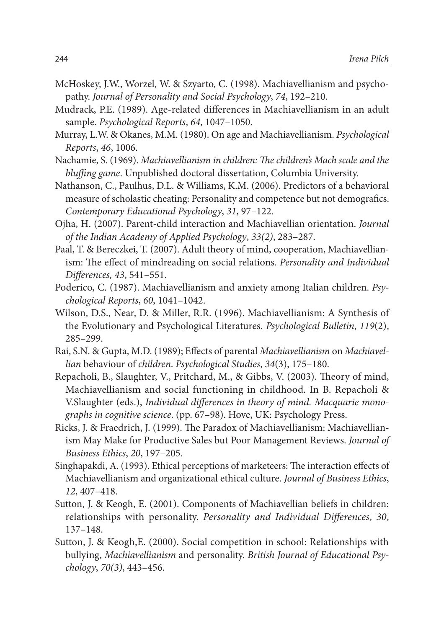- McHoskey, J.W., Worzel, W. & Szyarto, C. (1998). Machiavellianism and psychopathy. *Journal of Personality and Social Psychology*, *74*, 192–210.
- Mudrack, P.E. (1989). Age-related differences in Machiavellianism in an adult sample. *Psychological Reports*, *64*, 1047–1050.
- Murray, L.W. & Okanes, M.M. (1980). On age and Machiavellianism. *Psychological Reports*, *46*, 1006.
- Nachamie, S. (1969). *Machiavellianism in children: The children's Mach scale and the bluffing game*. Unpublished doctoral dissertation, Columbia University.
- Nathanson, C., Paulhus, D.L. & Williams, K.M. (2006). Predictors of a behavioral measure of scholastic cheating: Personality and competence but not demografics. *Contemporary Educational Psychology*, *31*, 97–122.
- Ojha, H. (2007). Parent-child interaction and Machiavellian orientation. *Journal of the Indian Academy of Applied Psychology*, *33(2)*, 283–287.
- Paal, T. & Bereczkei, T. (2007). Adult theory of mind, cooperation, Machiavellianism: The effect of mindreading on social relations. *Personality and Individual Differences, 43*, 541–551.
- Poderico, C. (1987). Machiavellianism and anxiety among Italian children. *Psychological Reports*, *60*, 1041–1042.
- Wilson, D.S., Near, D. & Miller, R.R. (1996). Machiavellianism: A Synthesis of the Evolutionary and Psychological Literatures. *Psychological Bulletin*, *119*(2), 285–299.
- Rai, S.N. & Gupta, M.D. (1989); Effects of parental *Machiavellianism* on *Machiavellian* behaviour of *children*. *Psychological Studies*, *34*(3), 175–180.
- Repacholi, B., Slaughter, V., Pritchard, M., & Gibbs, V. (2003). Theory of mind, Machiavellianism and social functioning in childhood. In B. Repacholi & V.Slaughter (eds.), *Individual differences in theory of mind. Macquarie monographs in cognitive science*. (pp. 67–98). Hove, UK: Psychology Press.
- Ricks, J. & Fraedrich, J. (1999). The Paradox of Machiavellianism: Machiavellianism May Make for Productive Sales but Poor Management Reviews. *Journal of Business Ethics*, *20*, 197–205.
- Singhapakdi, A. (1993). Ethical perceptions of marketeers: The interaction effects of Machiavellianism and organizational ethical culture. *Journal of Business Ethics*, *12*, 407–418.
- Sutton, J. & Keogh, E. (2001). Components of Machiavellian beliefs in children: relationships with personality. *Personality and Individual Differences*, *30*, 137–148.
- Sutton, J. & Keogh,E. (2000). Social competition in school: Relationships with bullying, *Machiavellianism* and personality. *British Journal of Educational Psychology*, *70(3)*, 443–456.